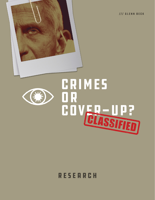/// GLENN BECK





# **RESEARCH**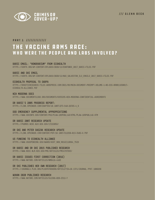

### PART 1 ///////////// THE VACCINE ARMS RACE: WHO WERE THE PEOPLE AND LABS INVOLVED?

#### Baric email: "honorarium" from Ecohealth

[https://usrtk.org/wp-content/uploads/2020/12/EHAfunds\\_2017\\_Baric-Files.pdf](https://usrtk.org/wp-content/uploads/2020/12/EHAfunds_2017_Baric-Files.pdf)

#### BARIC AND SHI EMAIL

[https://usrtk.org/wp-content/uploads/2020/12/NAS\\_Galveston\\_ZLS\\_Emails\\_2017\\_Baric-Files.pdf](https://usrtk.org/wp-content/uploads/2020/12/NAS_Galveston_ZLS_Emails_2017_Baric-Files.pdf)

#### Ecohealth proposal to DARPA

[https://drasticresearch.files.wordpress.com/2021/09/main-document-preempt-volume-1-no-ess-hr00118s0017](https://drasticresearch.files.wordpress.com/2021/09/main-document-preempt-volume-1-no-ess-hr00118s0017-ecohealth-alliance.pdf) [ecohealth-alliance.pdf](https://drasticresearch.files.wordpress.com/2021/09/main-document-preempt-volume-1-no-ess-hr00118s0017-ecohealth-alliance.pdf)

#### NIH Moderna docs

<https://www.documentcloud.org/documents/6935295-NIH-Moderna-Confidential-Agreements>

#### Dr Baric's 2005 progress report:

[https://link.springer.com/chapter/10.1007%2F3-540-26765-4\\_8](https://link.springer.com/chapter/10.1007%2F3-540-26765-4_8)

#### DoD Emergency Supplemental Appropriations

<https://www.govinfo.gov/content/pkg/PLAW-109publ148/html/PLAW-109publ148.htm>

#### Dr Baric 2007 research update

<https://pubmed.ncbi.nlm.nih.gov/17222058/>

#### Dr Shi and Peter Daszak research update

<https://link.springer.com/content/pdf/10.1007/s12250-013-3402-x.pdf>

#### US funding to Ecohealth Alliance

[https://www.usaspending.gov/award/ASST\\_NON\\_R01AI110964\\_7529](https://www.usaspending.gov/award/ASST_NON_R01AI110964_7529)

#### Dr Baric and Dr Shi 2015 published research

<https://www.ncbi.nlm.nih.gov/pmc/articles/PMC4797993/>

#### Dr Baric issues first correction (2016)

<https://www.nature.com/articles/nm0416-446d>

#### Dr Shi publishes her own research (2017)

[https://journals.plos.org/plospathogens/article?id=10.1371/journal.ppat.1006698](https://journals.plos.org/plospathogens/article?id=10.1371/journal.ppat.1006698 )

#### Wuhan 2020 published research

<https://www.nature.com/articles/s41586-020-2312-y>